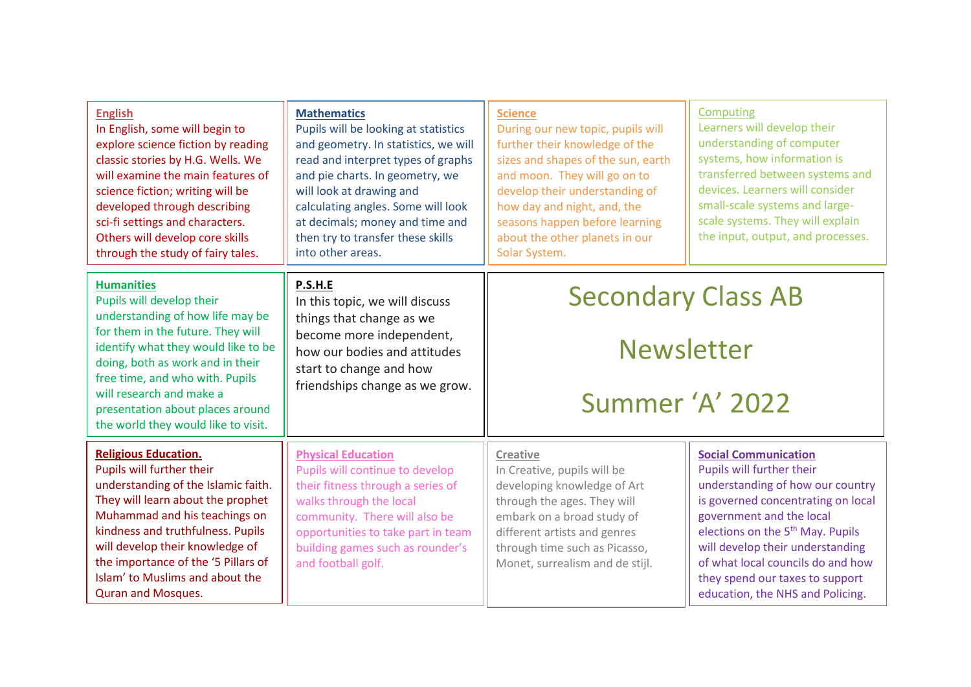| <b>English</b><br>In English, some will begin to<br>explore science fiction by reading<br>classic stories by H.G. Wells. We<br>will examine the main features of<br>science fiction; writing will be<br>developed through describing<br>sci-fi settings and characters.<br>Others will develop core skills<br>through the study of fairy tales.      | <b>Mathematics</b><br>Pupils will be looking at statistics<br>and geometry. In statistics, we will<br>read and interpret types of graphs<br>and pie charts. In geometry, we<br>will look at drawing and<br>calculating angles. Some will look<br>at decimals; money and time and<br>then try to transfer these skills<br>into other areas. | <b>Science</b><br>During our new topic, pupils will<br>further their knowledge of the<br>sizes and shapes of the sun, earth<br>and moon. They will go on to<br>develop their understanding of<br>how day and night, and, the<br>seasons happen before learning<br>about the other planets in our<br>Solar System. | Computing<br>Learners will develop their<br>understanding of computer<br>systems, how information is<br>transferred between systems and<br>devices. Learners will consider<br>small-scale systems and large-<br>scale systems. They will explain<br>the input, output, and processes.                                                                          |
|------------------------------------------------------------------------------------------------------------------------------------------------------------------------------------------------------------------------------------------------------------------------------------------------------------------------------------------------------|--------------------------------------------------------------------------------------------------------------------------------------------------------------------------------------------------------------------------------------------------------------------------------------------------------------------------------------------|-------------------------------------------------------------------------------------------------------------------------------------------------------------------------------------------------------------------------------------------------------------------------------------------------------------------|----------------------------------------------------------------------------------------------------------------------------------------------------------------------------------------------------------------------------------------------------------------------------------------------------------------------------------------------------------------|
| <b>Humanities</b><br>Pupils will develop their<br>understanding of how life may be<br>for them in the future. They will<br>identify what they would like to be<br>doing, both as work and in their<br>free time, and who with. Pupils<br>will research and make a<br>presentation about places around<br>the world they would like to visit.         | P.S.H.E<br>In this topic, we will discuss<br>things that change as we<br>become more independent,<br>how our bodies and attitudes<br>start to change and how<br>friendships change as we grow.                                                                                                                                             | <b>Secondary Class AB</b><br><b>Newsletter</b><br>Summer 'A' 2022                                                                                                                                                                                                                                                 |                                                                                                                                                                                                                                                                                                                                                                |
| <b>Religious Education.</b><br>Pupils will further their<br>understanding of the Islamic faith.<br>They will learn about the prophet<br>Muhammad and his teachings on<br>kindness and truthfulness. Pupils<br>will develop their knowledge of<br>the importance of the '5 Pillars of<br>Islam' to Muslims and about the<br><b>Quran and Mosques.</b> | <b>Physical Education</b><br>Pupils will continue to develop<br>their fitness through a series of<br>walks through the local<br>community. There will also be<br>opportunities to take part in team<br>building games such as rounder's<br>and football golf.                                                                              | <b>Creative</b><br>In Creative, pupils will be<br>developing knowledge of Art<br>through the ages. They will<br>embark on a broad study of<br>different artists and genres<br>through time such as Picasso,<br>Monet, surrealism and de stijl.                                                                    | <b>Social Communication</b><br>Pupils will further their<br>understanding of how our country<br>is governed concentrating on local<br>government and the local<br>elections on the 5 <sup>th</sup> May. Pupils<br>will develop their understanding<br>of what local councils do and how<br>they spend our taxes to support<br>education, the NHS and Policing. |